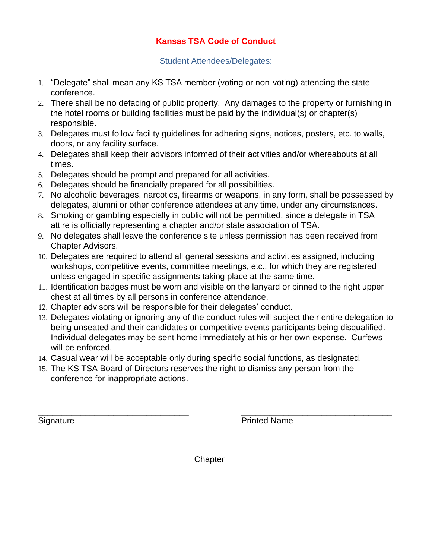## **Kansas TSA Code of Conduct**

Student Attendees/Delegates:

- 1. "Delegate" shall mean any KS TSA member (voting or non-voting) attending the state conference.
- 2. There shall be no defacing of public property. Any damages to the property or furnishing in the hotel rooms or building facilities must be paid by the individual(s) or chapter(s) responsible.
- 3. Delegates must follow facility guidelines for adhering signs, notices, posters, etc. to walls, doors, or any facility surface.
- 4. Delegates shall keep their advisors informed of their activities and/or whereabouts at all times.
- 5. Delegates should be prompt and prepared for all activities.
- 6. Delegates should be financially prepared for all possibilities.
- 7. No alcoholic beverages, narcotics, firearms or weapons, in any form, shall be possessed by delegates, alumni or other conference attendees at any time, under any circumstances.
- 8. Smoking or gambling especially in public will not be permitted, since a delegate in TSA attire is officially representing a chapter and/or state association of TSA.
- 9. No delegates shall leave the conference site unless permission has been received from Chapter Advisors.
- 10. Delegates are required to attend all general sessions and activities assigned, including workshops, competitive events, committee meetings, etc., for which they are registered unless engaged in specific assignments taking place at the same time.
- 11. Identification badges must be worn and visible on the lanyard or pinned to the right upper chest at all times by all persons in conference attendance.
- 12. Chapter advisors will be responsible for their delegates' conduct.
- 13. Delegates violating or ignoring any of the conduct rules will subject their entire delegation to being unseated and their candidates or competitive events participants being disqualified. Individual delegates may be sent home immediately at his or her own expense. Curfews will be enforced.
- 14. Casual wear will be acceptable only during specific social functions, as designated.
- 15. The KS TSA Board of Directors reserves the right to dismiss any person from the conference for inappropriate actions.

Signature **Printed Name** 

**Chapter** 

\_\_\_\_\_\_\_\_\_\_\_\_\_\_\_\_\_\_\_\_\_\_\_\_\_\_\_\_\_\_\_\_

\_\_\_\_\_\_\_\_\_\_\_\_\_\_\_\_\_\_\_\_\_\_\_\_\_\_\_\_\_\_\_\_ \_\_\_\_\_\_\_\_\_\_\_\_\_\_\_\_\_\_\_\_\_\_\_\_\_\_\_\_\_\_\_\_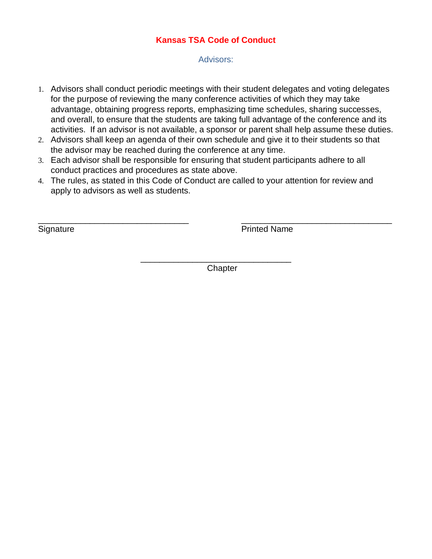### **Kansas TSA Code of Conduct**

Advisors:

- 1. Advisors shall conduct periodic meetings with their student delegates and voting delegates for the purpose of reviewing the many conference activities of which they may take advantage, obtaining progress reports, emphasizing time schedules, sharing successes, and overall, to ensure that the students are taking full advantage of the conference and its activities. If an advisor is not available, a sponsor or parent shall help assume these duties.
- 2. Advisors shall keep an agenda of their own schedule and give it to their students so that the advisor may be reached during the conference at any time.
- 3. Each advisor shall be responsible for ensuring that student participants adhere to all conduct practices and procedures as state above.
- 4. The rules, as stated in this Code of Conduct are called to your attention for review and apply to advisors as well as students.

 $\overline{\phantom{a}}$  , and the contract of the contract of the contract of the contract of the contract of the contract of the contract of the contract of the contract of the contract of the contract of the contract of the contrac

Signature **Printed Name** 

**Chapter** 

\_\_\_\_\_\_\_\_\_\_\_\_\_\_\_\_\_\_\_\_\_\_\_\_\_\_\_\_\_\_\_\_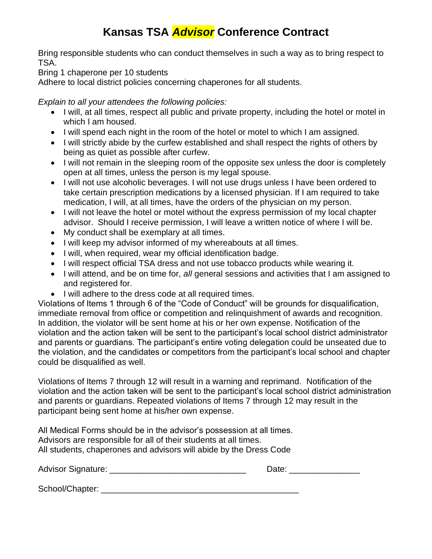# **Kansas TSA** *Advisor* **Conference Contract**

Bring responsible students who can conduct themselves in such a way as to bring respect to TSA.

Bring 1 chaperone per 10 students

Adhere to local district policies concerning chaperones for all students.

*Explain to all your attendees the following policies:*

- I will, at all times, respect all public and private property, including the hotel or motel in which I am housed.
- I will spend each night in the room of the hotel or motel to which I am assigned.
- I will strictly abide by the curfew established and shall respect the rights of others by being as quiet as possible after curfew.
- I will not remain in the sleeping room of the opposite sex unless the door is completely open at all times, unless the person is my legal spouse.
- I will not use alcoholic beverages. I will not use drugs unless I have been ordered to take certain prescription medications by a licensed physician. If I am required to take medication, I will, at all times, have the orders of the physician on my person.
- I will not leave the hotel or motel without the express permission of my local chapter advisor. Should I receive permission, I will leave a written notice of where I will be.
- My conduct shall be exemplary at all times.
- I will keep my advisor informed of my whereabouts at all times.
- I will, when required, wear my official identification badge.
- I will respect official TSA dress and not use tobacco products while wearing it.
- I will attend, and be on time for, *all* general sessions and activities that I am assigned to and registered for.
- I will adhere to the dress code at all required times.

Violations of Items 1 through 6 of the "Code of Conduct" will be grounds for disqualification, immediate removal from office or competition and relinquishment of awards and recognition. In addition, the violator will be sent home at his or her own expense. Notification of the violation and the action taken will be sent to the participant's local school district administrator and parents or guardians. The participant's entire voting delegation could be unseated due to the violation, and the candidates or competitors from the participant's local school and chapter could be disqualified as well.

Violations of Items 7 through 12 will result in a warning and reprimand. Notification of the violation and the action taken will be sent to the participant's local school district administration and parents or guardians. Repeated violations of Items 7 through 12 may result in the participant being sent home at his/her own expense.

All Medical Forms should be in the advisor's possession at all times. Advisors are responsible for all of their students at all times. All students, chaperones and advisors will abide by the Dress Code

Advisor Signature: \_\_\_\_\_\_\_\_\_\_\_\_\_\_\_\_\_\_\_\_\_\_\_\_\_\_\_\_\_ Date: \_\_\_\_\_\_\_\_\_\_\_\_\_\_\_

School/Chapter: \_\_\_\_\_\_\_\_\_\_\_\_\_\_\_\_\_\_\_\_\_\_\_\_\_\_\_\_\_\_\_\_\_\_\_\_\_\_\_\_\_\_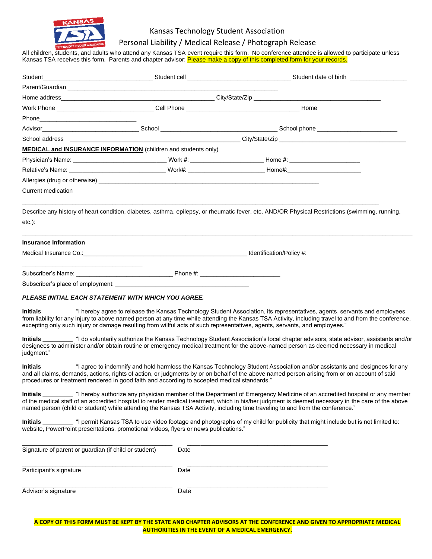

### Kansas Technology Student Association

#### Personal Liability / Medical Release / Photograph Release

All children, students, and adults who attend any Kansas TSA event require this form. No conference attendee is allowed to participate unless Kansas TSA receives this form. Parents and chapter advisor: <mark>Please make a copy of this completed form for your records.</mark>

| <b>MEDICAL and INSURANCE INFORMATION</b> (children and students only)                                                          |      |                                                                                                                                                                                                                                                                                                      |
|--------------------------------------------------------------------------------------------------------------------------------|------|------------------------------------------------------------------------------------------------------------------------------------------------------------------------------------------------------------------------------------------------------------------------------------------------------|
|                                                                                                                                |      | Physician's Name: ________________________________Work #: ______________________Home #: ______________________                                                                                                                                                                                       |
|                                                                                                                                |      | Relative's Name: __________________________________Work#: _______________________Home#:_______________________                                                                                                                                                                                       |
|                                                                                                                                |      |                                                                                                                                                                                                                                                                                                      |
| Current medication                                                                                                             |      |                                                                                                                                                                                                                                                                                                      |
| $etc.$ ):                                                                                                                      |      | Describe any history of heart condition, diabetes, asthma, epilepsy, or rheumatic fever, etc. AND/OR Physical Restrictions (swimming, running,                                                                                                                                                       |
| Insurance Information                                                                                                          |      |                                                                                                                                                                                                                                                                                                      |
|                                                                                                                                |      |                                                                                                                                                                                                                                                                                                      |
|                                                                                                                                |      |                                                                                                                                                                                                                                                                                                      |
|                                                                                                                                |      |                                                                                                                                                                                                                                                                                                      |
| <b>PLEASE INITIAL EACH STATEMENT WITH WHICH YOU AGREE.</b>                                                                     |      | Initials<br><u>Initials</u> <sub>_________ "I hereby agree to release the Kansas Technology Student Association, its representatives, agents, servants and employees</sub>                                                                                                                           |
| excepting only such injury or damage resulting from willful acts of such representatives, agents, servants, and employees."    |      | from liability for any injury to above named person at any time while attending the Kansas TSA Activity, including travel to and from the conference,                                                                                                                                                |
| judgment."                                                                                                                     |      | Initials ________ "I do voluntarily authorize the Kansas Technology Student Association's local chapter advisors, state advisor, assistants and/or<br>designees to administer and/or obtain routine or emergency medical treatment for the above-named person as deemed necessary in medical         |
| procedures or treatment rendered in good faith and according to accepted medical standards."                                   |      | Initials __________ "I agree to indemnify and hold harmless the Kansas Technology Student Association and/or assistants and designees for any<br>and all claims, demands, actions, rights of action, or judgments by or on behalf of the above named person arising from or on account of said       |
| named person (child or student) while attending the Kansas TSA Activity, including time traveling to and from the conference." |      | Initials enterprise the percept authorize any physician member of the Department of Emergency Medicine of an accredited hospital or any member<br>of the medical staff of an accredited hospital to render medical treatment, which in his/her judgment is deemed necessary in the care of the above |
| website, PowerPoint presentations, promotional videos, flyers or news publications."                                           |      | Initials ________ "I permit Kansas TSA to use video footage and photographs of my child for publicity that might include but is not limited to:                                                                                                                                                      |
| Signature of parent or guardian (if child or student)                                                                          | Date |                                                                                                                                                                                                                                                                                                      |
| Participant's signature                                                                                                        | Date |                                                                                                                                                                                                                                                                                                      |
| Advisor's signature                                                                                                            | Date |                                                                                                                                                                                                                                                                                                      |

**A COPY OF THIS FORM MUST BE KEPT BY THE STATE AND CHAPTER ADVISORS AT THE CONFERENCE AND GIVEN TO APPROPRIATE MEDICAL AUTHORITIES IN THE EVENT OF A MEDICAL EMERGENCY.**